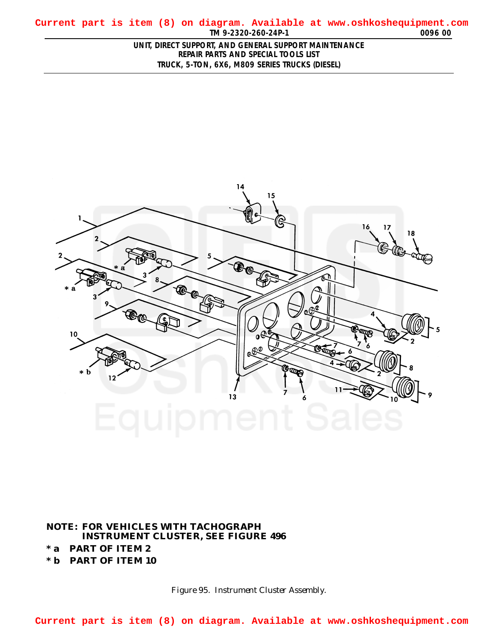<span id="page-0-0"></span>**TM 9-2320-260-24P-1 0096 00 Current part is item (8) on diagram. Available at www.oshkoshequipment.com**

> **UNIT, DIRECT SUPPORT, AND GENERAL SUPPORT MAINTENANCE REPAIR PARTS AND SPECIAL TOOLS LIST TRUCK, 5-TON, 6X6, M809 SERIES TRUCKS (DIESEL)**



## **NOTE: FOR VEHICLES WITH TACHOGRAPH INSTRUMENT CLUSTER, SEE FIGURE 496 \* a PART OF ITEM 2**

**\* b PART OF ITEM 10**

*Figure 95. Instrument Cluster Assembly.*

**Current part is item (8) on diagram. Available at www.oshkoshequipment.com**